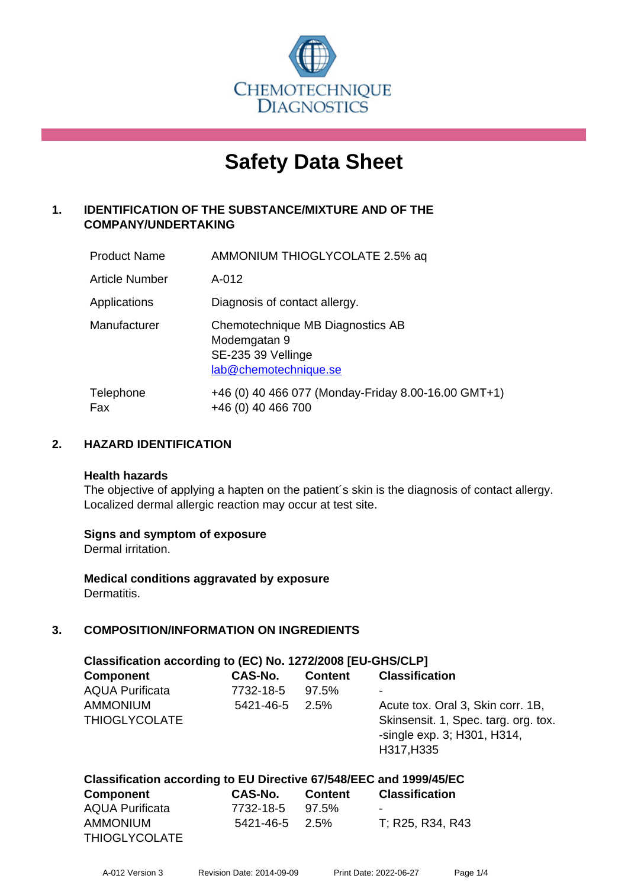

# **Safety Data Sheet**

## **1. IDENTIFICATION OF THE SUBSTANCE/MIXTURE AND OF THE COMPANY/UNDERTAKING**

| <b>Product Name</b> | AMMONIUM THIOGLYCOLATE 2.5% aq                                                                  |
|---------------------|-------------------------------------------------------------------------------------------------|
| Article Number      | $A-012$                                                                                         |
| Applications        | Diagnosis of contact allergy.                                                                   |
| Manufacturer        | Chemotechnique MB Diagnostics AB<br>Modemgatan 9<br>SE-235 39 Vellinge<br>lab@chemotechnique.se |
| Telephone<br>Fax    | +46 (0) 40 466 077 (Monday-Friday 8.00-16.00 GMT+1)<br>+46 (0) 40 466 700                       |

## **2. HAZARD IDENTIFICATION**

#### **Health hazards**

The objective of applying a hapten on the patient's skin is the diagnosis of contact allergy. Localized dermal allergic reaction may occur at test site.

## **Signs and symptom of exposure**

Dermal irritation.

**Medical conditions aggravated by exposure** Dermatitis.

## **3. COMPOSITION/INFORMATION ON INGREDIENTS**

| Classification according to (EC) No. 1272/2008 [EU-GHS/CLP] |                |                |                                                                                   |  |  |  |
|-------------------------------------------------------------|----------------|----------------|-----------------------------------------------------------------------------------|--|--|--|
| <b>Component</b>                                            | <b>CAS-No.</b> | <b>Content</b> | <b>Classification</b>                                                             |  |  |  |
| <b>AQUA Purificata</b>                                      | 7732-18-5      | 97.5%          | -                                                                                 |  |  |  |
| <b>AMMONIUM</b>                                             | 5421-46-5      | 2.5%           | Acute tox. Oral 3, Skin corr. 1B,                                                 |  |  |  |
| <b>THIOGLYCOLATE</b>                                        |                |                | Skinsensit. 1, Spec. targ. org. tox.<br>-single exp. 3; H301, H314,<br>H317, H335 |  |  |  |

#### **Classification according to EU Directive 67/548/EEC and 1999/45/EC Component CAS-No. Content Classification**

| Component       | GAS-NO.              | <b>Content</b> | Classification   |
|-----------------|----------------------|----------------|------------------|
| AQUA Purificata | 7732-18-5            | 97.5%          | -                |
| AMMONIUM        | $5421 - 46 - 5$ 2.5% |                | T: R25, R34, R43 |
| THIOGLYCOLATE   |                      |                |                  |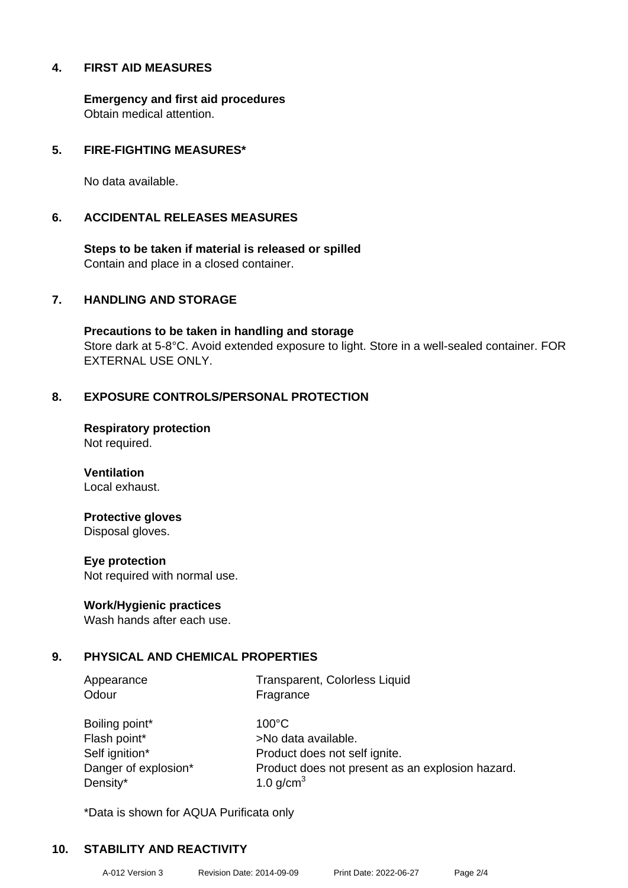## **4. FIRST AID MEASURES**

**Emergency and first aid procedures** Obtain medical attention.

## **5. FIRE-FIGHTING MEASURES\***

No data available.

### **6. ACCIDENTAL RELEASES MEASURES**

**Steps to be taken if material is released or spilled** Contain and place in a closed container.

## **7. HANDLING AND STORAGE**

**Precautions to be taken in handling and storage** Store dark at 5-8°C. Avoid extended exposure to light. Store in a well-sealed container. FOR EXTERNAL USE ONLY.

## **8. EXPOSURE CONTROLS/PERSONAL PROTECTION**

**Respiratory protection** Not required.

**Ventilation** Local exhaust.

## **Protective gloves**

Disposal gloves.

#### **Eye protection**

Not required with normal use.

#### **Work/Hygienic practices**

Wash hands after each use.

## **9. PHYSICAL AND CHEMICAL PROPERTIES**

Odour Fragrance

Appearance Transparent, Colorless Liquid

Boiling point\* 100°C Flash point\* >No data available. Density\*  $1.0 \text{ g/cm}^3$ 

Self ignition\* Product does not self ignite. Danger of explosion\* Product does not present as an explosion hazard.

\*Data is shown for AQUA Purificata only

## **10. STABILITY AND REACTIVITY**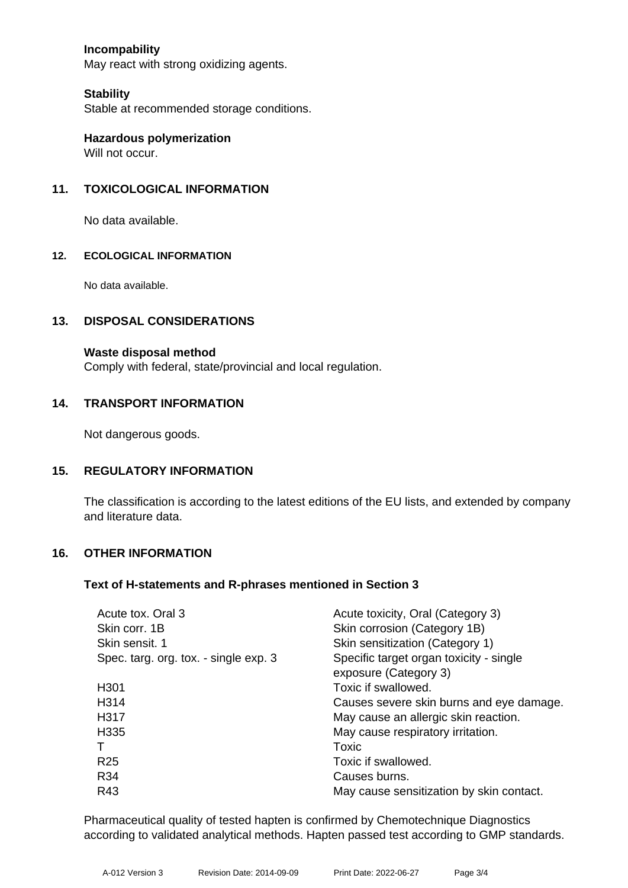## **Incompability**

May react with strong oxidizing agents.

### **Stability**

Stable at recommended storage conditions.

**Hazardous polymerization** Will not occur.

## **11. TOXICOLOGICAL INFORMATION**

No data available.

#### **12. ECOLOGICAL INFORMATION**

No data available.

### **13. DISPOSAL CONSIDERATIONS**

#### **Waste disposal method**

Comply with federal, state/provincial and local regulation.

### **14. TRANSPORT INFORMATION**

Not dangerous goods.

#### **15. REGULATORY INFORMATION**

The classification is according to the latest editions of the EU lists, and extended by company and literature data.

#### **16. OTHER INFORMATION**

#### **Text of H-statements and R-phrases mentioned in Section 3**

| Acute tox, Oral 3                     | Acute toxicity, Oral (Category 3)        |
|---------------------------------------|------------------------------------------|
| Skin corr. 1B                         | Skin corrosion (Category 1B)             |
| Skin sensit. 1                        | Skin sensitization (Category 1)          |
| Spec. targ. org. tox. - single exp. 3 | Specific target organ toxicity - single  |
|                                       | exposure (Category 3)                    |
| H <sub>301</sub>                      | Toxic if swallowed.                      |
| H <sub>3</sub> 14                     | Causes severe skin burns and eye damage. |
| H317                                  | May cause an allergic skin reaction.     |
| H335                                  | May cause respiratory irritation.        |
|                                       | Toxic                                    |
| <b>R25</b>                            | Toxic if swallowed.                      |
| R34                                   | Causes burns.                            |
| R43                                   | May cause sensitization by skin contact. |
|                                       |                                          |

Pharmaceutical quality of tested hapten is confirmed by Chemotechnique Diagnostics according to validated analytical methods. Hapten passed test according to GMP standards.